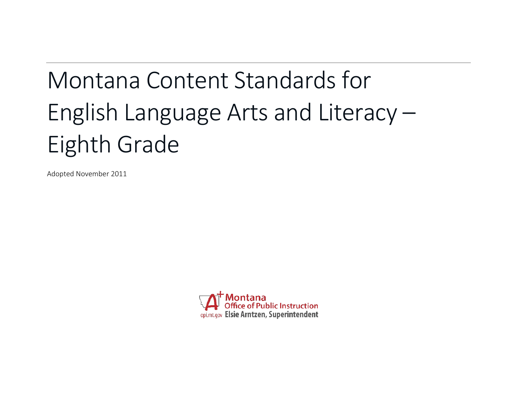# Montana Content Standards for English Language Arts and Literacy – Eighth Grade

Adopted November 2011

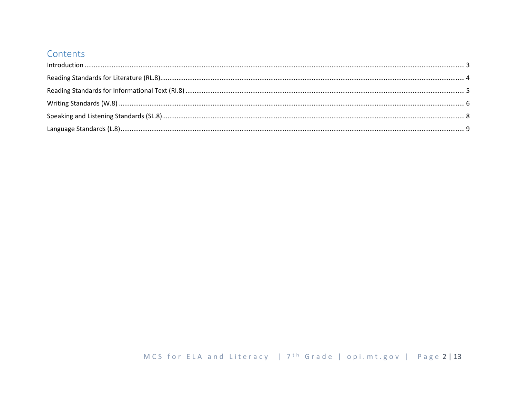## Contents

| $\label{lem:1} \mbox{Introduction} \,\, \ldots \,\, \ldots \,\, \ldots \,\, \ldots \,\, \ldots \,\, \ldots \,\, \ldots \,\, \ldots \,\, \ldots \,\, \ldots \,\, \ldots \,\, \ldots \,\, \ldots \,\, \ldots \,\, \ldots \,\, \ldots \,\, \ldots \,\, \ldots \,\, \ldots \,\, \ldots \,\, \ldots \,\, \ldots \,\, \ldots \,\, \ldots \,\, \ldots \,\, \ldots \,\, \ldots \,\, \ldots \,\, \ldots \,\, \ldots \,\, \ldots \,\, \ldots \,\, \ldots \,\, \ldots \,\,$ |  |
|------------------------------------------------------------------------------------------------------------------------------------------------------------------------------------------------------------------------------------------------------------------------------------------------------------------------------------------------------------------------------------------------------------------------------------------------------------------|--|
|                                                                                                                                                                                                                                                                                                                                                                                                                                                                  |  |
|                                                                                                                                                                                                                                                                                                                                                                                                                                                                  |  |
|                                                                                                                                                                                                                                                                                                                                                                                                                                                                  |  |
|                                                                                                                                                                                                                                                                                                                                                                                                                                                                  |  |
|                                                                                                                                                                                                                                                                                                                                                                                                                                                                  |  |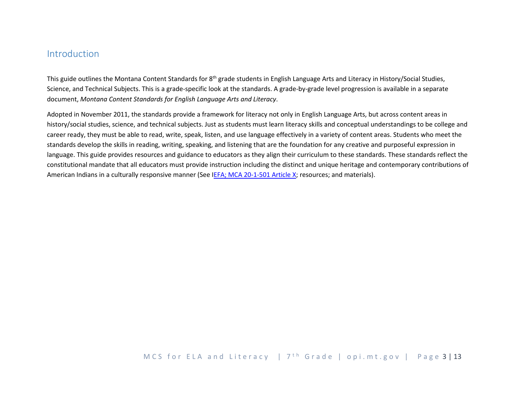## <span id="page-2-0"></span>Introduction

This guide outlines the Montana Content Standards for  $8<sup>th</sup>$  grade students in English Language Arts and Literacy in History/Social Studies, Science, and Technical Subjects. This is a grade-specific look at the standards. A grade-by-grade level progression is available in a separate document, *Montana Content Standards for English Language Arts and Literacy*.

Adopted in November 2011, the standards provide a framework for literacy not only in English Language Arts, but across content areas in history/social studies, science, and technical subjects. Just as students must learn literacy skills and conceptual understandings to be college and career ready, they must be able to read, write, speak, listen, and use language effectively in a variety of content areas. Students who meet the standards develop the skills in reading, writing, speaking, and listening that are the foundation for any creative and purposeful expression in language. This guide provides resources and guidance to educators as they align their curriculum to these standards. These standards reflect the constitutional mandate that all educators must provide instruction including the distinct and unique heritage and contemporary contributions of American Indians in a culturally responsive manner (See [IEFA; MCA 20-1-501 Article X;](http://www.opi.mt.gov/PDF/IndianEd/Resources/ArticleX_IEFA.pdf) resources; and materials).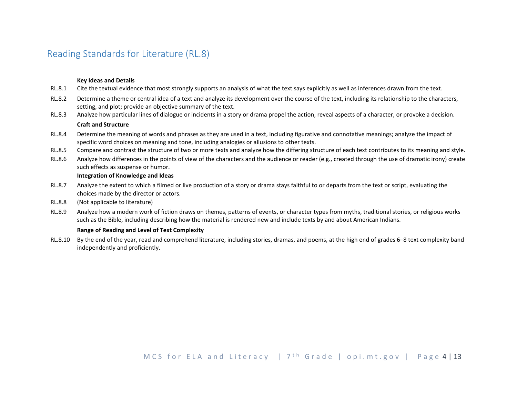## <span id="page-3-0"></span>Reading Standards for Literature (RL.8)

#### **Key Ideas and Details**

- RL.8.1 Cite the textual evidence that most strongly supports an analysis of what the text says explicitly as well as inferences drawn from the text.
- RL.8.2 Determine a theme or central idea of a text and analyze its development over the course of the text, including its relationship to the characters, setting, and plot; provide an objective summary of the text.
- RL.8.3 Analyze how particular lines of dialogue or incidents in a story or drama propel the action, reveal aspects of a character, or provoke a decision.

#### **Craft and Structure**

- RL.8.4 Determine the meaning of words and phrases as they are used in a text, including figurative and connotative meanings; analyze the impact of specific word choices on meaning and tone, including analogies or allusions to other texts.
- RL.8.5 Compare and contrast the structure of two or more texts and analyze how the differing structure of each text contributes to its meaning and style.
- RL.8.6 Analyze how differences in the points of view of the characters and the audience or reader (e.g., created through the use of dramatic irony) create such effects as suspense or humor.

#### **Integration of Knowledge and Ideas**

- RL.8.7 Analyze the extent to which a filmed or live production of a story or drama stays faithful to or departs from the text or script, evaluating the choices made by the director or actors.
- RL.8.8 (Not applicable to literature)
- RL.8.9 Analyze how a modern work of fiction draws on themes, patterns of events, or character types from myths, traditional stories, or religious works such as the Bible, including describing how the material is rendered new and include texts by and about American Indians.

#### **Range of Reading and Level of Text Complexity**

RL.8.10 By the end of the year, read and comprehend literature, including stories, dramas, and poems, at the high end of grades 6–8 text complexity band independently and proficiently.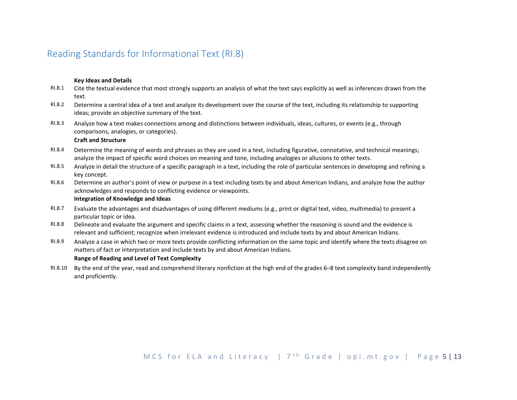## <span id="page-4-0"></span>Reading Standards for Informational Text (RI.8)

#### **Key Ideas and Details**

- RI.8.1 Cite the textual evidence that most strongly supports an analysis of what the text says explicitly as well as inferences drawn from the text.
- RI.8.2 Determine a central idea of a text and analyze its development over the course of the text, including its relationship to supporting ideas; provide an objective summary of the text.
- RI.8.3 Analyze how a text makes connections among and distinctions between individuals, ideas, cultures, or events (e.g., through comparisons, analogies, or categories).

#### **Craft and Structure**

- RI.8.4 Determine the meaning of words and phrases as they are used in a text, including figurative, connotative, and technical meanings; analyze the impact of specific word choices on meaning and tone, including analogies or allusions to other texts.
- RI.8.5 Analyze in detail the structure of a specific paragraph in a text, including the role of particular sentences in developing and refining a key concept.
- RI.8.6 Determine an author's point of view or purpose in a text including texts by and about American Indians, and analyze how the author acknowledges and responds to conflicting evidence or viewpoints. **Integration of Knowledge and Ideas**

- RI.8.7 Evaluate the advantages and disadvantages of using different mediums (e.g., print or digital text, video, multimedia) to present a particular topic or idea.
- RI.8.8 Delineate and evaluate the argument and specific claims in a text, assessing whether the reasoning is sound and the evidence is relevant and sufficient; recognize when irrelevant evidence is introduced and include texts by and about American Indians.
- RI.8.9 Analyze a case in which two or more texts provide conflicting information on the same topic and identify where the texts disagree on matters of fact or interpretation and include texts by and about American Indians.

#### **Range of Reading and Level of Text Complexity**

RI.8.10 By the end of the year, read and comprehend literary nonfiction at the high end of the grades 6–8 text complexity band independently and proficiently.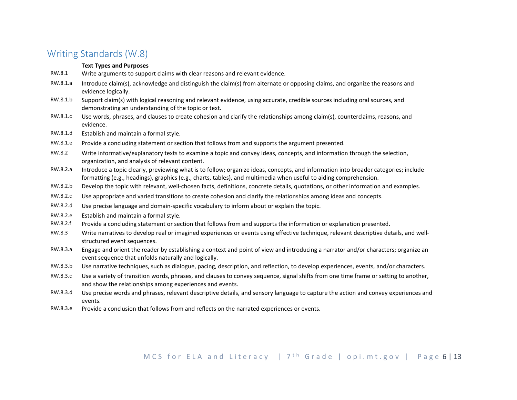## <span id="page-5-0"></span>Writing Standards (W.8)

#### **Text Types and Purposes**

- RW.8.1 Write arguments to support claims with clear reasons and relevant evidence.
- RW.8.1.a Introduce claim(s), acknowledge and distinguish the claim(s) from alternate or opposing claims, and organize the reasons and evidence logically.
- RW.8.1.b Support claim(s) with logical reasoning and relevant evidence, using accurate, credible sources including oral sources, and demonstrating an understanding of the topic or text.
- RW.8.1.c Use words, phrases, and clauses to create cohesion and clarify the relationships among claim(s), counterclaims, reasons, and evidence.
- RW.8.1.d Establish and maintain a formal style.
- RW.8.1.e Provide a concluding statement or section that follows from and supports the argument presented.
- RW.8.2 Write informative/explanatory texts to examine a topic and convey ideas, concepts, and information through the selection, organization, and analysis of relevant content.
- RW.8.2.a Introduce a topic clearly, previewing what is to follow; organize ideas, concepts, and information into broader categories; include formatting (e.g., headings), graphics (e.g., charts, tables), and multimedia when useful to aiding comprehension.
- RW.8.2.b Develop the topic with relevant, well-chosen facts, definitions, concrete details, quotations, or other information and examples.
- RW.8.2.c Use appropriate and varied transitions to create cohesion and clarify the relationships among ideas and concepts.
- RW.8.2.d Use precise language and domain-specific vocabulary to inform about or explain the topic.
- RW.8.2.e Establish and maintain a formal style.
- RW.8.2.f Provide a concluding statement or section that follows from and supports the information or explanation presented.
- RW.8.3 Write narratives to develop real or imagined experiences or events using effective technique, relevant descriptive details, and wellstructured event sequences.
- RW.8.3.a Engage and orient the reader by establishing a context and point of view and introducing a narrator and/or characters; organize an event sequence that unfolds naturally and logically.
- RW.8.3.b Use narrative techniques, such as dialogue, pacing, description, and reflection, to develop experiences, events, and/or characters.
- RW.8.3.c Use a variety of transition words, phrases, and clauses to convey sequence, signal shifts from one time frame or setting to another, and show the relationships among experiences and events.
- RW.8.3.d Use precise words and phrases, relevant descriptive details, and sensory language to capture the action and convey experiences and events.
- RW.8.3.e Provide a conclusion that follows from and reflects on the narrated experiences or events.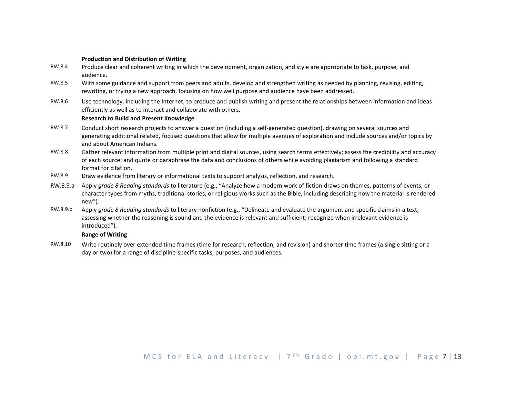#### **Production and Distribution of Writing**

- RW.8.4 Produce clear and coherent writing in which the development, organization, and style are appropriate to task, purpose, and audience.
- RW.8.5 With some guidance and support from peers and adults, develop and strengthen writing as needed by planning, revising, editing, rewriting, or trying a new approach, focusing on how well purpose and audience have been addressed.
- RW.8.6 Use technology, including the Internet, to produce and publish writing and present the relationships between information and ideas efficiently as well as to interact and collaborate with others.

#### **Research to Build and Present Knowledge**

- RW.8.7 Conduct short research projects to answer a question (including a self-generated question), drawing on several sources and generating additional related, focused questions that allow for multiple avenues of exploration and include sources and/or topics by and about American Indians.
- RW.8.8 Gather relevant information from multiple print and digital sources, using search terms effectively; assess the credibility and accuracy of each source; and quote or paraphrase the data and conclusions of others while avoiding plagiarism and following a standard format for citation.
- RW.8.9 Draw evidence from literary or informational texts to support analysis, reflection, and research.
- RW.8.9.a Apply *grade 8 Reading standards* to literature (e.g., "Analyze how a modern work of fiction draws on themes, patterns of events, or character types from myths, traditional stories, or religious works such as the Bible, including describing how the material is rendered new").
- RW.8.9.b Apply *grade 8 Reading standards* to literary nonfiction (e.g., "Delineate and evaluate the argument and specific claims in a text, assessing whether the reasoning is sound and the evidence is relevant and sufficient; recognize when irrelevant evidence is introduced").

#### **Range of Writing**

RW.8.10 Write routinely over extended time frames (time for research, reflection, and revision) and shorter time frames (a single sitting or a day or two) for a range of discipline-specific tasks, purposes, and audiences.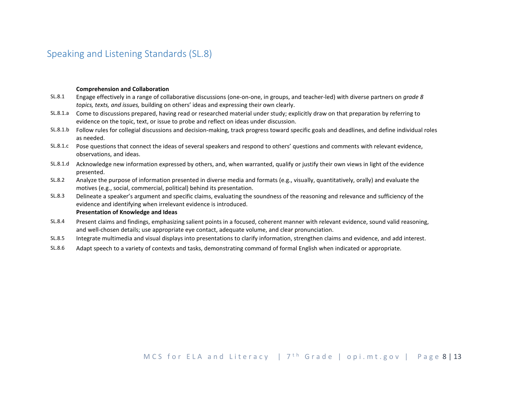## <span id="page-7-0"></span>Speaking and Listening Standards (SL.8)

#### **Comprehension and Collaboration**

- SL.8.1 Engage effectively in a range of collaborative discussions (one-on-one, in groups, and teacher-led) with diverse partners on *grade 8 topics, texts, and issues,* building on others' ideas and expressing their own clearly.
- SL.8.1.a Come to discussions prepared, having read or researched material under study; explicitly draw on that preparation by referring to evidence on the topic, text, or issue to probe and reflect on ideas under discussion.
- SL.8.1.b Follow rules for collegial discussions and decision-making, track progress toward specific goals and deadlines, and define individual roles as needed.
- SL.8.1.c Pose questions that connect the ideas of several speakers and respond to others' questions and comments with relevant evidence, observations, and ideas.
- SL.8.1.d Acknowledge new information expressed by others, and, when warranted, qualify or justify their own views in light of the evidence presented.
- SL.8.2 Analyze the purpose of information presented in diverse media and formats (e.g., visually, quantitatively, orally) and evaluate the motives (e.g., social, commercial, political) behind its presentation.
- SL.8.3 Delineate a speaker's argument and specific claims, evaluating the soundness of the reasoning and relevance and sufficiency of the evidence and identifying when irrelevant evidence is introduced. **Presentation of Knowledge and Ideas**
- SL.8.4 Present claims and findings, emphasizing salient points in a focused, coherent manner with relevant evidence, sound valid reasoning, and well-chosen details; use appropriate eye contact, adequate volume, and clear pronunciation.
- SL.8.5 Integrate multimedia and visual displays into presentations to clarify information, strengthen claims and evidence, and add interest.
- SL.8.6 Adapt speech to a variety of contexts and tasks, demonstrating command of formal English when indicated or appropriate.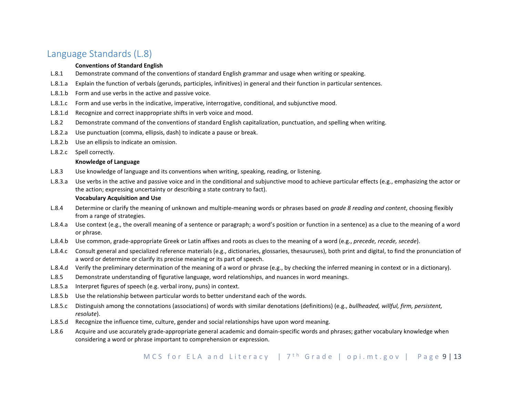## <span id="page-8-0"></span>Language Standards (L.8)

#### **Conventions of Standard English**

- L.8.1 Demonstrate command of the conventions of standard English grammar and usage when writing or speaking.
- L.8.1.a Explain the function of verbals (gerunds, participles, infinitives) in general and their function in particular sentences.
- L.8.1.b Form and use verbs in the active and passive voice.
- L.8.1.c Form and use verbs in the indicative, imperative, interrogative, conditional, and subjunctive mood.
- L.8.1.d Recognize and correct inappropriate shifts in verb voice and mood.
- L.8.2 Demonstrate command of the conventions of standard English capitalization, punctuation, and spelling when writing.
- L.8.2.a Use punctuation (comma, ellipsis, dash) to indicate a pause or break.
- L.8.2.b Use an ellipsis to indicate an omission.
- L.8.2.c Spell correctly.

#### **Knowledge of Language**

- L.8.3 Use knowledge of language and its conventions when writing, speaking, reading, or listening.
- L.8.3.a Use verbs in the active and passive voice and in the conditional and subjunctive mood to achieve particular effects (e.g., emphasizing the actor or the action; expressing uncertainty or describing a state contrary to fact).

### **Vocabulary Acquisition and Use**

- L.8.4 Determine or clarify the meaning of unknown and multiple-meaning words or phrases based on *grade 8 reading and content*, choosing flexibly from a range of strategies.
- L.8.4.a Use context (e.g., the overall meaning of a sentence or paragraph; a word's position or function in a sentence) as a clue to the meaning of a word or phrase.
- L.8.4.b Use common, grade-appropriate Greek or Latin affixes and roots as clues to the meaning of a word (e.g., *precede, recede, secede*).
- L.8.4.c Consult general and specialized reference materials (e.g., dictionaries, glossaries, thesauruses), both print and digital, to find the pronunciation of a word or determine or clarify its precise meaning or its part of speech.
- L.8.4.d Verify the preliminary determination of the meaning of a word or phrase (e.g., by checking the inferred meaning in context or in a dictionary).
- L.8.5 Demonstrate understanding of figurative language, word relationships, and nuances in word meanings.
- L.8.5.a Interpret figures of speech (e.g. verbal irony, puns) in context.
- L.8.5.b Use the relationship between particular words to better understand each of the words.
- L.8.5.c Distinguish among the connotations (associations) of words with similar denotations (definitions) (e.g., *bullheaded, willful, firm, persistent, resolute*).
- L.8.5.d Recognize the influence time, culture, gender and social relationships have upon word meaning.
- L.8.6 Acquire and use accurately grade-appropriate general academic and domain-specific words and phrases; gather vocabulary knowledge when considering a word or phrase important to comprehension or expression.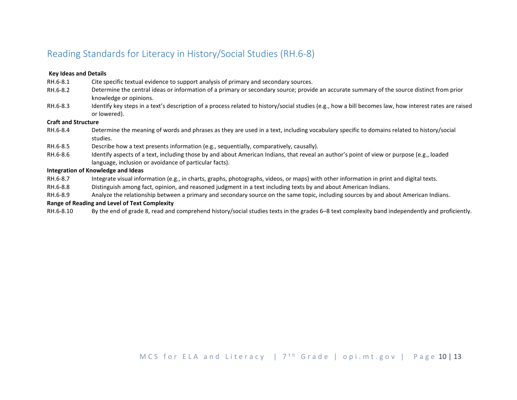## Reading Standards for Literacy in History/Social Studies (RH.6-8)

#### **Key Ideas and Details**

- RH.6-8.1 Cite specific textual evidence to support analysis of primary and secondary sources.
- RH.6-8.2 Determine the central ideas or information of a primary or secondary source; provide an accurate summary of the source distinct from prior knowledge or opinions.
- RH.6-8.3 Identify key steps in a text's description of a process related to history/social studies (e.g., how a bill becomes law, how interest rates are raised or lowered).

#### **Craft and Structure**

- RH.6-8.4 Determine the meaning of words and phrases as they are used in a text, including vocabulary specific to domains related to history/social studies.
- RH.6-8.5 Describe how a text presents information (e.g., sequentially, comparatively, causally).
- RH.6-8.6 Identify aspects of a text, including those by and about American Indians, that reveal an author's point of view or purpose (e.g., loaded language, inclusion or avoidance of particular facts).

#### **Integration of Knowledge and Ideas**

- RH.6-8.7 Integrate visual information (e.g., in charts, graphs, photographs, videos, or maps) with other information in print and digital texts.
- RH.6-8.8 Distinguish among fact, opinion, and reasoned judgment in a text including texts by and about American Indians.
- RH.6-8.9 Analyze the relationship between a primary and secondary source on the same topic, including sources by and about American Indians.

#### **Range of Reading and Level of Text Complexity**

RH.6-8.10 By the end of grade 8, read and comprehend history/social studies texts in the grades 6–8 text complexity band independently and proficiently.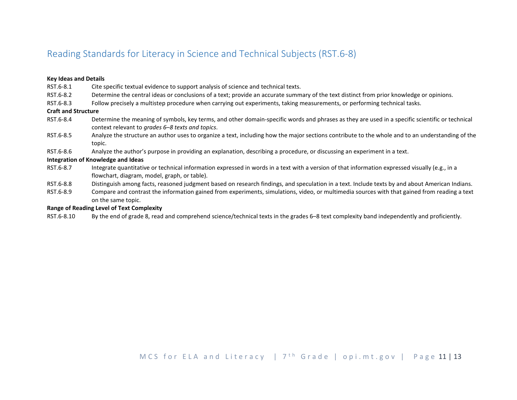## Reading Standards for Literacy in Science and Technical Subjects (RST.6-8)

#### **Key Ideas and Details**

- RST.6-8.1 Cite specific textual evidence to support analysis of science and technical texts.
- RST.6-8.2 Determine the central ideas or conclusions of a text; provide an accurate summary of the text distinct from prior knowledge or opinions.
- RST.6-8.3 Follow precisely a multistep procedure when carrying out experiments, taking measurements, or performing technical tasks.

#### **Craft and Structure**

- RST.6-8.4 Determine the meaning of symbols, key terms, and other domain-specific words and phrases as they are used in a specific scientific or technical context relevant to *grades 6–8 texts and topics*.
- RST.6-8.5 Analyze the structure an author uses to organize a text, including how the major sections contribute to the whole and to an understanding of the topic.
- RST.6-8.6 Analyze the author's purpose in providing an explanation, describing a procedure, or discussing an experiment in a text.

#### **Integration of Knowledge and Ideas**

- RST.6-8.7 Integrate quantitative or technical information expressed in words in a text with a version of that information expressed visually (e.g., in a flowchart, diagram, model, graph, or table).
- RST.6-8.8 Distinguish among facts, reasoned judgment based on research findings, and speculation in a text. Include texts by and about American Indians.
- RST.6-8.9 Compare and contrast the information gained from experiments, simulations, video, or multimedia sources with that gained from reading a text on the same topic.

#### **Range of Reading Level of Text Complexity**

RST.6-8.10 By the end of grade 8, read and comprehend science/technical texts in the grades 6–8 text complexity band independently and proficiently.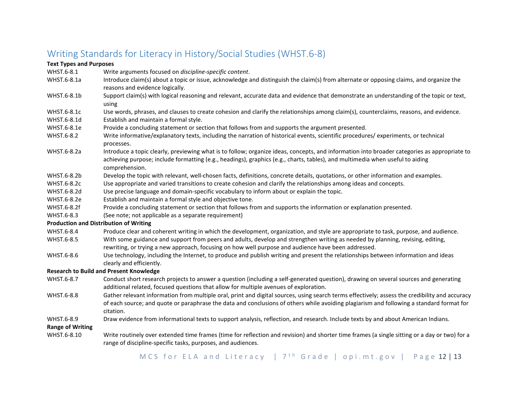## Writing Standards for Literacy in History/Social Studies (WHST.6-8)

#### **Text Types and Purposes**

- WHST.6-8.1 Write arguments focused on *discipline-specific content*.
- WHST.6-8.1a Introduce claim(s) about a topic or issue, acknowledge and distinguish the claim(s) from alternate or opposing claims, and organize the reasons and evidence logically.
- WHST.6-8.1b Support claim(s) with logical reasoning and relevant, accurate data and evidence that demonstrate an understanding of the topic or text, using
- WHST.6-8.1c Use words, phrases, and clauses to create cohesion and clarify the relationships among claim(s), counterclaims, reasons, and evidence.
- WHST.6-8.1d Establish and maintain a formal style.
- WHST.6-8.1e Provide a concluding statement or section that follows from and supports the argument presented.
- WHST.6-8.2 Write informative/explanatory texts, including the narration of historical events, scientific procedures/ experiments, or technical processes.
- WHST.6-8.2a Introduce a topic clearly, previewing what is to follow; organize ideas, concepts, and information into broader categories as appropriate to achieving purpose; include formatting (e.g., headings), graphics (e.g., charts, tables), and multimedia when useful to aiding comprehension.
- WHST.6-8.2b Develop the topic with relevant, well-chosen facts, definitions, concrete details, quotations, or other information and examples.
- WHST.6-8.2c Use appropriate and varied transitions to create cohesion and clarify the relationships among ideas and concepts.
- WHST.6-8.2d Use precise language and domain-specific vocabulary to inform about or explain the topic.
- WHST.6-8.2e Establish and maintain a formal style and objective tone.
- WHST.6-8.2f Provide a concluding statement or section that follows from and supports the information or explanation presented.
- WHST.6-8.3 (See note; not applicable as a separate requirement)

#### **Production and Distribution of Writing**

- WHST.6-8.4 Produce clear and coherent writing in which the development, organization, and style are appropriate to task, purpose, and audience.
- WHST.6-8.5 With some guidance and support from peers and adults, develop and strengthen writing as needed by planning, revising, editing, rewriting, or trying a new approach, focusing on how well purpose and audience have been addressed.
- WHST.6-8.6 Use technology, including the Internet, to produce and publish writing and present the relationships between information and ideas clearly and efficiently.

#### **Research to Build and Present Knowledge**

- WHST.6-8.7 Conduct short research projects to answer a question (including a self-generated question), drawing on several sources and generating additional related, focused questions that allow for multiple avenues of exploration.
- WHST.6-8.8 Gather relevant information from multiple oral, print and digital sources, using search terms effectively; assess the credibility and accuracy of each source; and quote or paraphrase the data and conclusions of others while avoiding plagiarism and following a standard format for citation.
- WHST.6-8.9 Draw evidence from informational texts to support analysis, reflection, and research. Include texts by and about American Indians.

#### **Range of Writing**

WHST.6-8.10 Write routinely over extended time frames (time for reflection and revision) and shorter time frames (a single sitting or a day or two) for a range of discipline-specific tasks, purposes, and audiences.